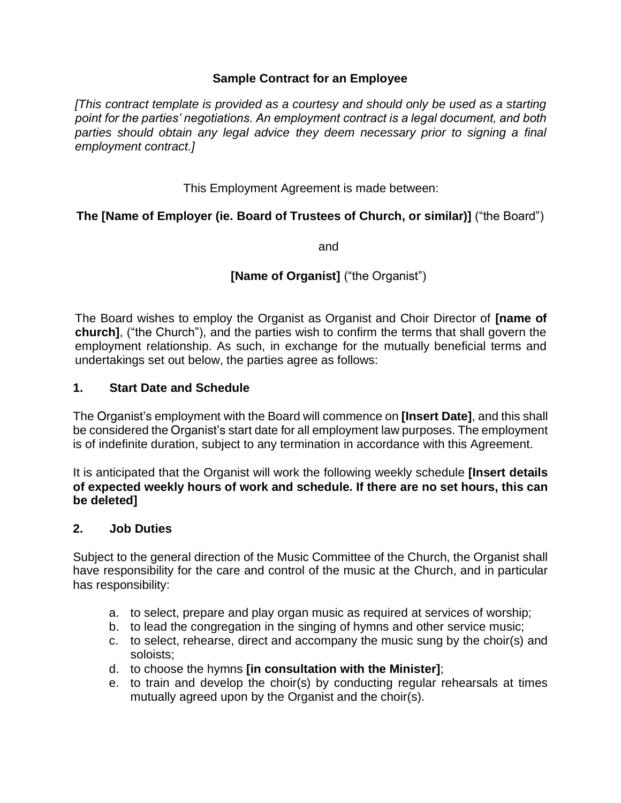### **Sample Contract for an Employee**

*[This contract template is provided as a courtesy and should only be used as a starting point for the parties' negotiations. An employment contract is a legal document, and both*  parties should obtain any legal advice they deem necessary prior to signing a final *employment contract.]*

This Employment Agreement is made between:

## **The [Name of Employer (ie. Board of Trustees of Church, or similar)]** ("the Board")

and

# **[Name of Organist]** ("the Organist")

The Board wishes to employ the Organist as Organist and Choir Director of **[name of church]**, ("the Church"), and the parties wish to confirm the terms that shall govern the employment relationship. As such, in exchange for the mutually beneficial terms and undertakings set out below, the parties agree as follows:

1. Start Date and Schedule

The Organist's employment with the Board will commence on [Insert Date], and this shall be considered the Organist's start date for all employment law purposes. The employment is of indefinite duration, subject to any termination in accordance with this Agreement.

It is anticipated that the Organist will work the following weekly schedule [Insert details of expected weekly hours of work and schedule. If there are no set hours, this can be deleted]

### 2. Job Duties

Subject to the general direction of the Music Committee of the Church, the Organist shall have responsibility for the care and control of the music at the Church, and in particular has responsibility:

- a. to select, prepare and play organ music as required at services of worship;
- b. to lead the congregation in the singing of hymns and other service music;
- c. to select, rehearse, direct and accompany the music sung by the choir(s) and soloists;
- d. to choose the hymns **[in consultation with the Minister]**;
- e. to train and develop the choir(s) by conducting regular rehearsals at times mutually agreed upon by the Organist and the choir(s).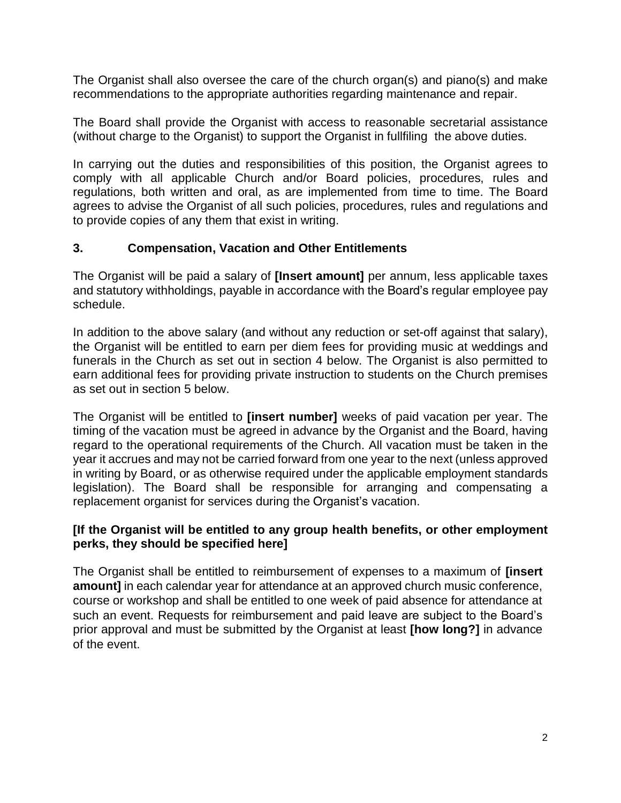The Organist shall also oversee the care of the church organ(s) and piano(s) and make recommendations to the appropriate authorities regarding maintenance and repair.

The Board shall provide the Organist with access to reasonable secretarial assistance (without charge to the Organist) to support the Organist in fullfiling the above duties.

In carrying out the duties and responsibilities of this position, the Organist agrees to comply with all applicable Church and/or Board policies, procedures, rules and regulations, both written and oral, as are implemented from time to time. The Board agrees to advise the Organist of all such policies, procedures, rules and regulations and to provide copies of any them that exist in writing.

### 3. Compensation, Vacation and Other Entitlements

The Organist will be paid a salary of [Insert amount] per annum, less applicable taxes and statutory withholdings, payable in accordance with the Board's regular employee pay schedule.

In addition to the above salary (and without any reduction or set-off against that salary), the Organist will be entitled to earn per diem fees for providing music at weddings and funerals in the Church as set out in section 4 below. The Organist is also permitted to earn additional fees for providing private instruction to students on the Church premises as set out in section 5 below.

The Organist will be entitled to [insert number] weeks of paid vacation per year. The timing of the vacation must be agreed in advance by the Organist and the Board, having regard to the operational requirements of the Church. All vacation must be taken in the year it accrues and may not be carried forward from one year to the next (unless approved in writing by Board, or as otherwise required under the applicable employment standards legislation). The Board shall be responsible for arranging and compensating a replacement organist for services during the Organist's vacation.

[If the Organist will be entitled to any group health benefits, or other employment perks, they should be specified here]

The Organist shall be entitled to reimbursement of expenses to a maximum of **[insert amount]** in each calendar year for attendance at an approved church music conference, course or workshop and shall be entitled to one week of paid absence for attendance at such an event. Requests for reimbursement and paid leave are subject to the Board's prior approval and must be submitted by the Organist at least **[how long?]** in advance of the event.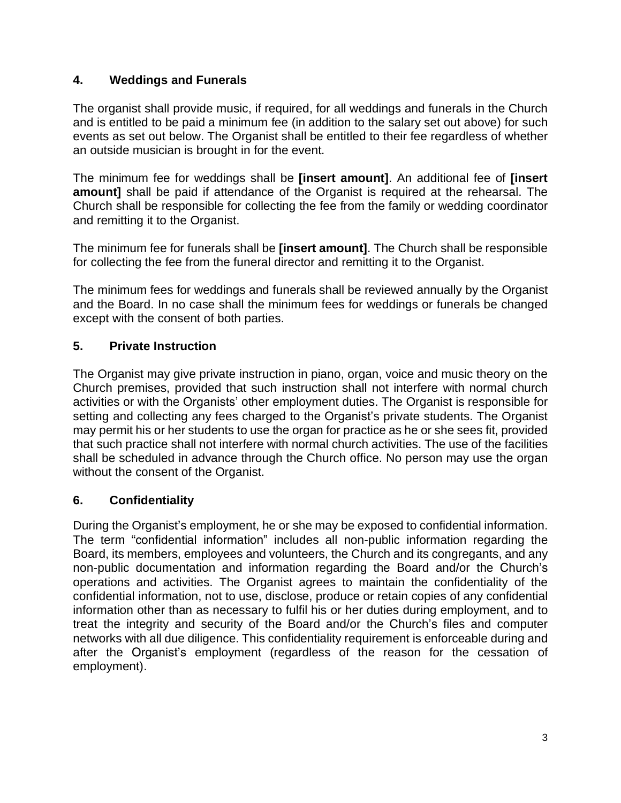## **4. Weddings and Funerals**

The organist shall provide music, if required, for all weddings and funerals in the Church and is entitled to be paid a minimum fee (in addition to the salary set out above) for such events as set out below. The Organist shall be entitled to their fee regardless of whether an outside musician is brought in for the event.

The minimum fee for weddings shall be **[insert amount]**. An additional fee of **[insert amount]** shall be paid if attendance of the Organist is required at the rehearsal. The Church shall be responsible for collecting the fee from the family or wedding coordinator and remitting it to the Organist.

The minimum fee for funerals shall be **[insert amount]**. The Church shall be responsible for collecting the fee from the funeral director and remitting it to the Organist.

The minimum fees for weddings and funerals shall be reviewed annually by the Organist and the Board. In no case shall the minimum fees for weddings or funerals be changed except with the consent of both parties.

# **5. Private Instruction**

The Organist may give private instruction in piano, organ, voice and music theory on the Church premises, provided that such instruction shall not interfere with normal church activities or with the Organists' other employment duties. The Organist is responsible for setting and collecting any fees charged to the Organist's private students. The Organist may permit his or her students to use the organ for practice as he or she sees fit, provided that such practice shall not interfere with normal church activities. The use of the facilities shall be scheduled in advance through the Church office. No person may use the organ without the consent of the Organist.

# **6. Confidentiality**

During the Organist's employment, he or she may be exposed to confidential information. The term "confidential information" includes all non-public information regarding the Board, its members, employees and volunteers, the Church and its congregants, and any non-public documentation and information regarding the Board and/or the Church's operations and activities. The Organist agrees to maintain the confidentiality of the confidential information, not to use, disclose, produce or retain copies of any confidential information other than as necessary to fulfil his or her duties during employment, and to treat the integrity and security of the Board and/or the Church's files and computer networks with all due diligence. This confidentiality requirement is enforceable during and after the Organist's employment (regardless of the reason for the cessation of employment).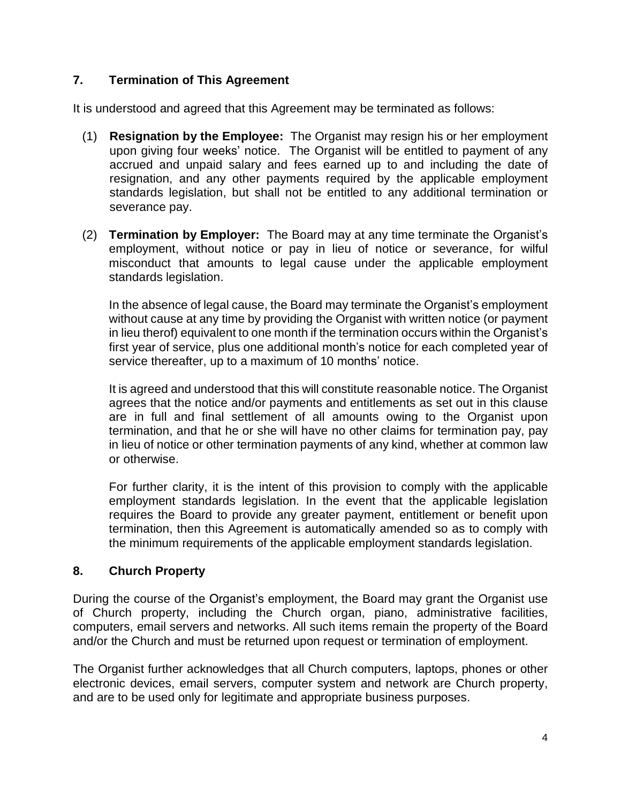# **7. Termination of This Agreement**

It is understood and agreed that this Agreement may be terminated as follows:

- (1) Resignation by the Employee: The Organist may resign his or her employment upon giving four weeks' notice. The Organist will be entitled to payment of any accrued and unpaid salary and fees earned up to and including the date of resignation, and any other payments required by the applicable employment standards legislation, but shall not be entitled to any additional termination or severance pay.
- (2) **Termination by Employer:** The Board may at any time terminate the Organist's employment, without notice or pay in lieu of notice or severance, for wilful misconduct that amounts to legal cause under the applicable employment standards legislation.

In the absence of legal cause, the Board may terminate the Organist's employment without cause at any time by providing the Organist with written notice (or payment in lieu therof) equivalent to one month if the termination occurs within the Organist's first year of service, plus one additional month's notice for each completed year of service thereafter, up to a maximum of 10 months' notice.

It is agreed and understood that this will constitute reasonable notice. The Organist agrees that the notice and/or payments and entitlements as set out in this clause are in full and final settlement of all amounts owing to the Organist upon termination, and that he or she will have no other claims for termination pay, pay in lieu of notice or other termination payments of any kind, whether at common law or otherwise.

For further clarity, it is the intent of this provision to comply with the applicable employment standards legislation. In the event that the applicable legislation requires the Board to provide any greater payment, entitlement or benefit upon termination, then this Agreement is automatically amended so as to comply with the minimum requirements of the applicable employment standards legislation.

## **8. Church Property**

During the course of the Organist's employment, the Board may grant the Organist use of Church property, including the Church organ, piano, administrative facilities, computers, email servers and networks. All such items remain the property of the Board and/or the Church and must be returned upon request or termination of employment.

The Organist further acknowledges that all Church computers, laptops, phones or other electronic devices, email servers, computer system and network are Church property, and are to be used only for legitimate and appropriate business purposes.